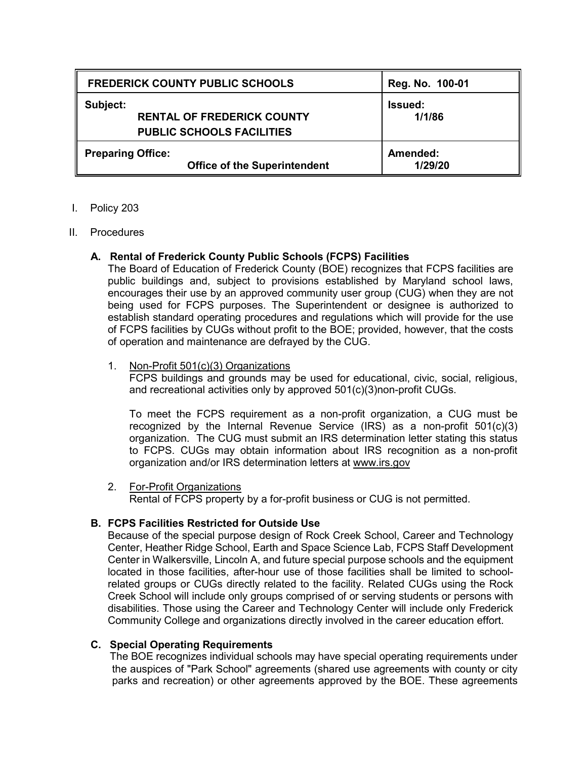| <b>FREDERICK COUNTY PUBLIC SCHOOLS</b>                                            | Reg. No. 100-01          |
|-----------------------------------------------------------------------------------|--------------------------|
| Subject:<br><b>RENTAL OF FREDERICK COUNTY</b><br><b>PUBLIC SCHOOLS FACILITIES</b> | <b>Issued:</b><br>1/1/86 |
| <b>Preparing Office:</b><br><b>Office of the Superintendent</b>                   | Amended:<br>1/29/20      |

## I. Policy 203

#### II. Procedures

# **A. Rental of Frederick County Public Schools (FCPS) Facilities**

The Board of Education of Frederick County (BOE) recognizes that FCPS facilities are public buildings and, subject to provisions established by Maryland school laws, encourages their use by an approved community user group (CUG) when they are not being used for FCPS purposes. The Superintendent or designee is authorized to establish standard operating procedures and regulations which will provide for the use of FCPS facilities by CUGs without profit to the BOE; provided, however, that the costs of operation and maintenance are defrayed by the CUG.

## 1. Non-Profit 501(c)(3) Organizations

FCPS buildings and grounds may be used for educational, civic, social, religious, and recreational activities only by approved 501(c)(3)non-profit CUGs.

To meet the FCPS requirement as a non-profit organization, a CUG must be recognized by the Internal Revenue Service (IRS) as a non-profit 501(c)(3) organization. The CUG must submit an IRS determination letter stating this status to FCPS. CUGs may obtain information about IRS recognition as a non-profit organization and/or IRS determination letters at [www.irs.gov](http://www.irs.gov/) 

# 2. For-Profit Organizations

Rental of FCPS property by a for-profit business or CUG is not permitted.

# **B. FCPS Facilities Restricted for Outside Use**

Because of the special purpose design of Rock Creek School, Career and Technology Center, Heather Ridge School, Earth and Space Science Lab, FCPS Staff Development Center in Walkersville, Lincoln A, and future special purpose schools and the equipment located in those facilities, after-hour use of those facilities shall be limited to schoolrelated groups or CUGs directly related to the facility. Related CUGs using the Rock Creek School will include only groups comprised of or serving students or persons with disabilities. Those using the Career and Technology Center will include only Frederick Community College and organizations directly involved in the career education effort.

# **C. Special Operating Requirements**

The BOE recognizes individual schools may have special operating requirements under the auspices of "Park School" agreements (shared use agreements with county or city parks and recreation) or other agreements approved by the BOE. These agreements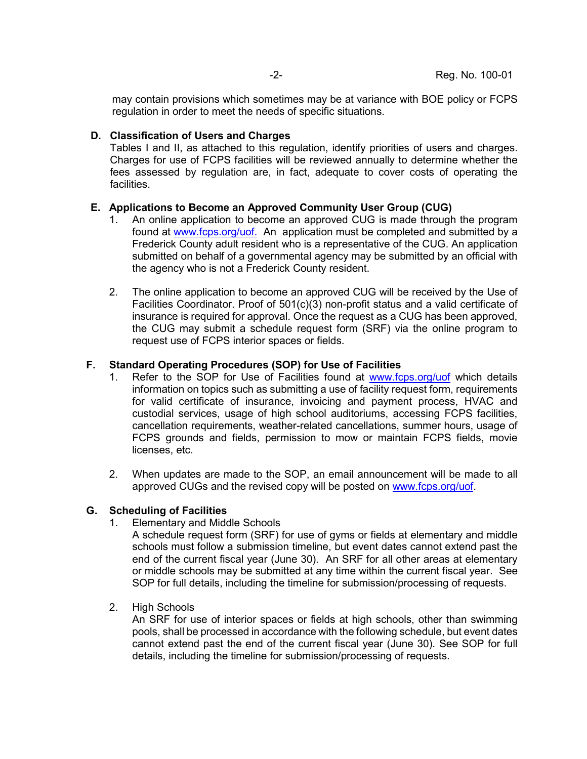may contain provisions which sometimes may be at variance with BOE policy or FCPS regulation in order to meet the needs of specific situations.

## **D. Classification of Users and Charges**

Tables I and II, as attached to this regulation, identify priorities of users and charges. Charges for use of FCPS facilities will be reviewed annually to determine whether the fees assessed by regulation are, in fact, adequate to cover costs of operating the facilities.

# **E. Applications to Become an Approved Community User Group (CUG)**

- 1. An online application to become an approved CUG is made through the program found at [www.fcps.org/](https://www.fcps.org/facilities/use-of-facilities)uof. An application must be completed and submitted by a Frederick County adult resident who is a representative of the CUG. An application submitted on behalf of a governmental agency may be submitted by an official with the agency who is not a Frederick County resident.
- 2. The online application to become an approved CUG will be received by the Use of Facilities Coordinator. Proof of 501(c)(3) non-profit status and a valid certificate of insurance is required for approval. Once the request as a CUG has been approved, the CUG may submit a schedule request form (SRF) via the online program to request use of FCPS interior spaces or fields.

## **F. Standard Operating Procedures (SOP) for Use of Facilities**

- 1. Refer to the SOP for Use of Facilities found at [www.fcps.org/](https://www.fcps.org/facilities/use-of-facilities)uof which details information on topics such as submitting a use of facility request form, requirements for valid certificate of insurance, invoicing and payment process, HVAC and custodial services, usage of high school auditoriums, accessing FCPS facilities, cancellation requirements, weather-related cancellations, summer hours, usage of FCPS grounds and fields, permission to mow or maintain FCPS fields, movie licenses, etc.
- 2. When updates are made to the SOP, an email announcement will be made to all approved CUGs and the revised copy will be posted on [www.fcps.org/uof.](http://www.fcps.org/uof)

# **G. Scheduling of Facilities**

- 1. Elementary and Middle Schools
	- A schedule request form (SRF) for use of gyms or fields at elementary and middle schools must follow a submission timeline, but event dates cannot extend past the end of the current fiscal year (June 30). An SRF for all other areas at elementary or middle schools may be submitted at any time within the current fiscal year. See SOP for full details, including the timeline for submission/processing of requests.
- 2. High Schools

An SRF for use of interior spaces or fields at high schools, other than swimming pools, shall be processed in accordance with the following schedule, but event dates cannot extend past the end of the current fiscal year (June 30). See SOP for full details, including the timeline for submission/processing of requests.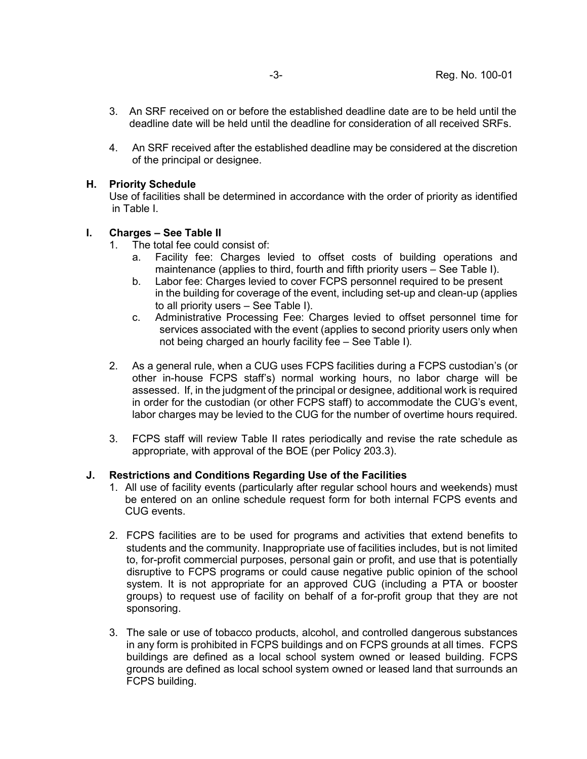- 3. An SRF received on or before the established deadline date are to be held until the deadline date will be held until the deadline for consideration of all received SRFs.
- 4. An SRF received after the established deadline may be considered at the discretion of the principal or designee.

## **H. Priority Schedule**

Use of facilities shall be determined in accordance with the order of priority as identified in Table I.

## **I. Charges – See Table II**

- 1. The total fee could consist of:
	- a. Facility fee: Charges levied to offset costs of building operations and maintenance (applies to third, fourth and fifth priority users – See Table I).
	- b. Labor fee: Charges levied to cover FCPS personnel required to be present in the building for coverage of the event, including set-up and clean-up (applies to all priority users – See Table I).
	- c. Administrative Processing Fee: Charges levied to offset personnel time for services associated with the event (applies to second priority users only when not being charged an hourly facility fee – See Table I).
- 2. As a general rule, when a CUG uses FCPS facilities during a FCPS custodian's (or other in-house FCPS staff's) normal working hours, no labor charge will be assessed. If, in the judgment of the principal or designee, additional work is required in order for the custodian (or other FCPS staff) to accommodate the CUG's event, labor charges may be levied to the CUG for the number of overtime hours required.
- 3. FCPS staff will review Table II rates periodically and revise the rate schedule as appropriate, with approval of the BOE (per Policy 203.3).

# **J. Restrictions and Conditions Regarding Use of the Facilities**

- 1. All use of facility events (particularly after regular school hours and weekends) must be entered on an online schedule request form for both internal FCPS events and CUG events.
- 2. FCPS facilities are to be used for programs and activities that extend benefits to students and the community. Inappropriate use of facilities includes, but is not limited to, for-profit commercial purposes, personal gain or profit, and use that is potentially disruptive to FCPS programs or could cause negative public opinion of the school system. It is not appropriate for an approved CUG (including a PTA or booster groups) to request use of facility on behalf of a for-profit group that they are not sponsoring.
- 3. The sale or use of tobacco products, alcohol, and controlled dangerous substances in any form is prohibited in FCPS buildings and on FCPS grounds at all times. FCPS buildings are defined as a local school system owned or leased building. FCPS grounds are defined as local school system owned or leased land that surrounds an FCPS building.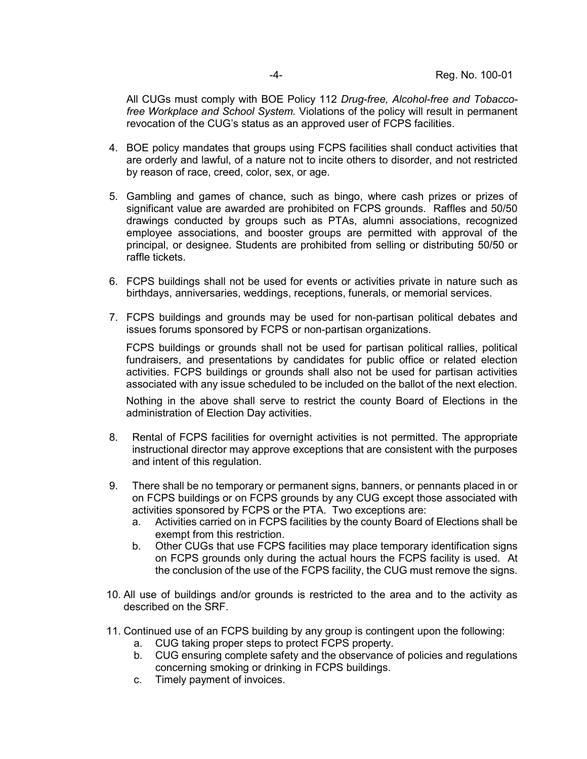All CUGs must comply with BOE Policy 112 *Drug-free, Alcohol-free and Tobaccofree Workplace and School System.* Violations of the policy will result in permanent revocation of the CUG's status as an approved user of FCPS facilities.

- 4. BOE policy mandates that groups using FCPS facilities shall conduct activities that are orderly and lawful, of a nature not to incite others to disorder, and not restricted by reason of race, creed, color, sex, or age.
- 5. Gambling and games of chance, such as bingo, where cash prizes or prizes of significant value are awarded are prohibited on FCPS grounds. Raffles and 50/50 drawings conducted by groups such as PTAs, alumni associations, recognized employee associations, and booster groups are permitted with approval of the principal, or designee. Students are prohibited from selling or distributing 50/50 or raffle tickets.
- 6. FCPS buildings shall not be used for events or activities private in nature such as birthdays, anniversaries, weddings, receptions, funerals, or memorial services.
- 7. FCPS buildings and grounds may be used for non-partisan political debates and issues forums sponsored by FCPS or non-partisan organizations.

FCPS buildings or grounds shall not be used for partisan political rallies, political fundraisers, and presentations by candidates for public office or related election activities. FCPS buildings or grounds shall also not be used for partisan activities associated with any issue scheduled to be included on the ballot of the next election.

Nothing in the above shall serve to restrict the county Board of Elections in the administration of Election Day activities.

- 8. Rental of FCPS facilities for overnight activities is not permitted. The appropriate instructional director may approve exceptions that are consistent with the purposes and intent of this regulation.
- 9. There shall be no temporary or permanent signs, banners, or pennants placed in or on FCPS buildings or on FCPS grounds by any CUG except those associated with activities sponsored by FCPS or the PTA. Two exceptions are:
	- a. Activities carried on in FCPS facilities by the county Board of Elections shall be exempt from this restriction.
	- b. Other CUGs that use FCPS facilities may place temporary identification signs on FCPS grounds only during the actual hours the FCPS facility is used. At the conclusion of the use of the FCPS facility, the CUG must remove the signs.
- 10. All use of buildings and/or grounds is restricted to the area and to the activity as described on the SRF.
- 11. Continued use of an FCPS building by any group is contingent upon the following:
	- a. CUG taking proper steps to protect FCPS property.
	- b. CUG ensuring complete safety and the observance of policies and regulations concerning smoking or drinking in FCPS buildings.
	- c. Timely payment of invoices.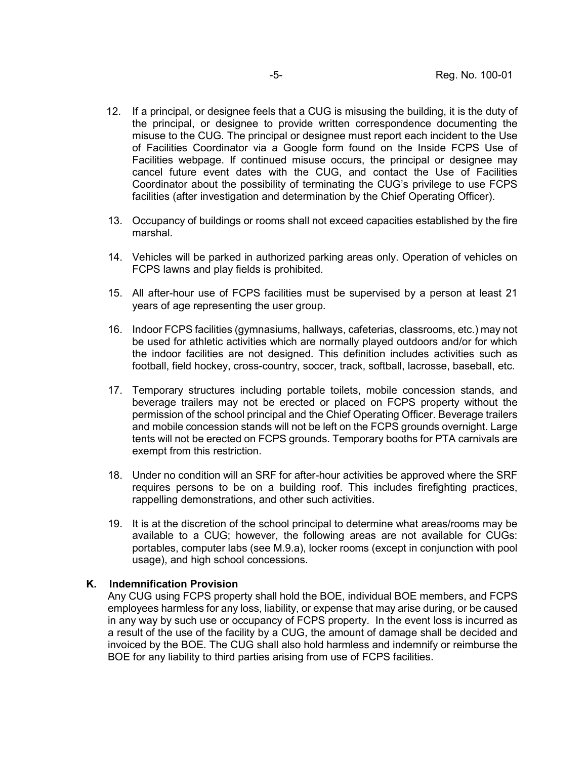- 12. If a principal, or designee feels that a CUG is misusing the building, it is the duty of the principal, or designee to provide written correspondence documenting the misuse to the CUG. The principal or designee must report each incident to the Use of Facilities Coordinator via a Google form found on the Inside FCPS Use of Facilities webpage. If continued misuse occurs, the principal or designee may cancel future event dates with the CUG, and contact the Use of Facilities Coordinator about the possibility of terminating the CUG's privilege to use FCPS facilities (after investigation and determination by the Chief Operating Officer).
- 13. Occupancy of buildings or rooms shall not exceed capacities established by the fire marshal.
- 14. Vehicles will be parked in authorized parking areas only. Operation of vehicles on FCPS lawns and play fields is prohibited.
- 15. All after-hour use of FCPS facilities must be supervised by a person at least 21 years of age representing the user group.
- 16. Indoor FCPS facilities (gymnasiums, hallways, cafeterias, classrooms, etc.) may not be used for athletic activities which are normally played outdoors and/or for which the indoor facilities are not designed. This definition includes activities such as football, field hockey, cross-country, soccer, track, softball, lacrosse, baseball, etc.
- 17. Temporary structures including portable toilets, mobile concession stands, and beverage trailers may not be erected or placed on FCPS property without the permission of the school principal and the Chief Operating Officer. Beverage trailers and mobile concession stands will not be left on the FCPS grounds overnight. Large tents will not be erected on FCPS grounds. Temporary booths for PTA carnivals are exempt from this restriction.
- 18. Under no condition will an SRF for after-hour activities be approved where the SRF requires persons to be on a building roof. This includes firefighting practices, rappelling demonstrations, and other such activities.
- 19. It is at the discretion of the school principal to determine what areas/rooms may be available to a CUG; however, the following areas are not available for CUGs: portables, computer labs (see M.9.a), locker rooms (except in conjunction with pool usage), and high school concessions.

#### **K. Indemnification Provision**

Any CUG using FCPS property shall hold the BOE, individual BOE members, and FCPS employees harmless for any loss, liability, or expense that may arise during, or be caused in any way by such use or occupancy of FCPS property. In the event loss is incurred as a result of the use of the facility by a CUG, the amount of damage shall be decided and invoiced by the BOE. The CUG shall also hold harmless and indemnify or reimburse the BOE for any liability to third parties arising from use of FCPS facilities.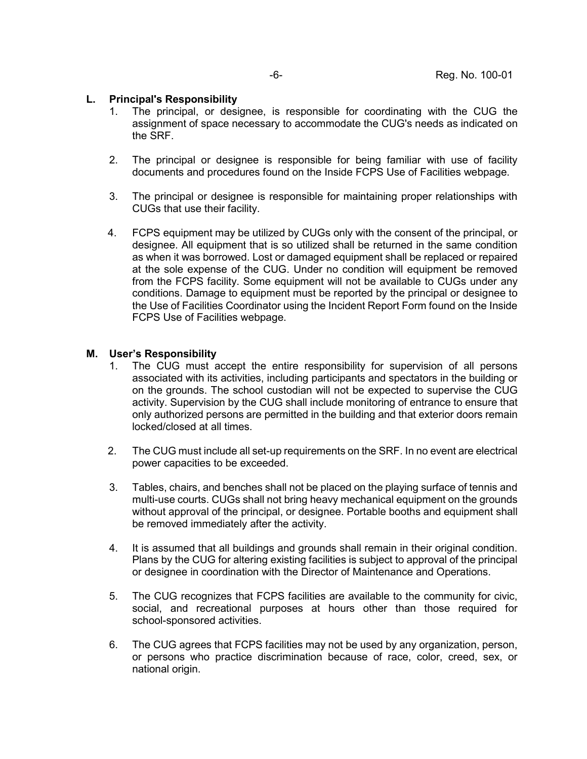## **L. Principal's Responsibility**

- 1. The principal, or designee, is responsible for coordinating with the CUG the assignment of space necessary to accommodate the CUG's needs as indicated on the SRF.
- 2. The principal or designee is responsible for being familiar with use of facility documents and procedures found on the Inside FCPS Use of Facilities webpage.
- 3. The principal or designee is responsible for maintaining proper relationships with CUGs that use their facility.
- 4. FCPS equipment may be utilized by CUGs only with the consent of the principal, or designee. All equipment that is so utilized shall be returned in the same condition as when it was borrowed. Lost or damaged equipment shall be replaced or repaired at the sole expense of the CUG. Under no condition will equipment be removed from the FCPS facility. Some equipment will not be available to CUGs under any conditions. Damage to equipment must be reported by the principal or designee to the Use of Facilities Coordinator using the Incident Report Form found on the Inside FCPS Use of Facilities webpage.

#### **M. User's Responsibility**

- 1. The CUG must accept the entire responsibility for supervision of all persons associated with its activities, including participants and spectators in the building or on the grounds. The school custodian will not be expected to supervise the CUG activity. Supervision by the CUG shall include monitoring of entrance to ensure that only authorized persons are permitted in the building and that exterior doors remain locked/closed at all times.
- 2. The CUG must include all set-up requirements on the SRF. In no event are electrical power capacities to be exceeded.
- 3. Tables, chairs, and benches shall not be placed on the playing surface of tennis and multi-use courts. CUGs shall not bring heavy mechanical equipment on the grounds without approval of the principal, or designee. Portable booths and equipment shall be removed immediately after the activity.
- 4. It is assumed that all buildings and grounds shall remain in their original condition. Plans by the CUG for altering existing facilities is subject to approval of the principal or designee in coordination with the Director of Maintenance and Operations.
- 5. The CUG recognizes that FCPS facilities are available to the community for civic, social, and recreational purposes at hours other than those required for school-sponsored activities.
- 6. The CUG agrees that FCPS facilities may not be used by any organization, person, or persons who practice discrimination because of race, color, creed, sex, or national origin.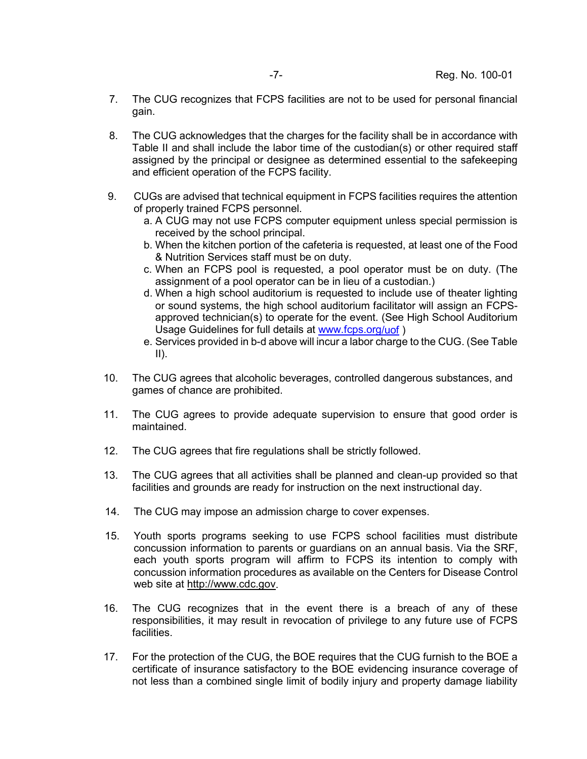- 7. The CUG recognizes that FCPS facilities are not to be used for personal financial gain.
- 8. The CUG acknowledges that the charges for the facility shall be in accordance with Table II and shall include the labor time of the custodian(s) or other required staff assigned by the principal or designee as determined essential to the safekeeping and efficient operation of the FCPS facility.
- 9. CUGs are advised that technical equipment in FCPS facilities requires the attention of properly trained FCPS personnel.
	- a. A CUG may not use FCPS computer equipment unless special permission is received by the school principal.
	- b. When the kitchen portion of the cafeteria is requested, at least one of the Food & Nutrition Services staff must be on duty.
	- c. When an FCPS pool is requested, a pool operator must be on duty. (The assignment of a pool operator can be in lieu of a custodian.)
	- d. When a high school auditorium is requested to include use of theater lighting or sound systems, the high school auditorium facilitator will assign an FCPSapproved technician(s) to operate for the event. (See High School Auditorium Usage Guidelines for full details at [www.fcps.org/](https://www.fcps.org/facilities/use-of-facilities)uof )
	- e. Services provided in b-d above will incur a labor charge to the CUG. (See Table  $II$ ).
- 10. The CUG agrees that alcoholic beverages, controlled dangerous substances, and games of chance are prohibited.
- 11. The CUG agrees to provide adequate supervision to ensure that good order is maintained.
- 12. The CUG agrees that fire regulations shall be strictly followed.
- 13. The CUG agrees that all activities shall be planned and clean-up provided so that facilities and grounds are ready for instruction on the next instructional day.
- 14. The CUG may impose an admission charge to cover expenses.
- 15. Youth sports programs seeking to use FCPS school facilities must distribute concussion information to parents or guardians on an annual basis. Via the SRF, each youth sports program will affirm to FCPS its intention to comply with concussion information procedures as available on the Centers for Disease Control web site at [http://www.cdc.gov.](http://www.cdc.gov/)
- 16. The CUG recognizes that in the event there is a breach of any of these responsibilities, it may result in revocation of privilege to any future use of FCPS facilities.
- 17. For the protection of the CUG, the BOE requires that the CUG furnish to the BOE a certificate of insurance satisfactory to the BOE evidencing insurance coverage of not less than a combined single limit of bodily injury and property damage liability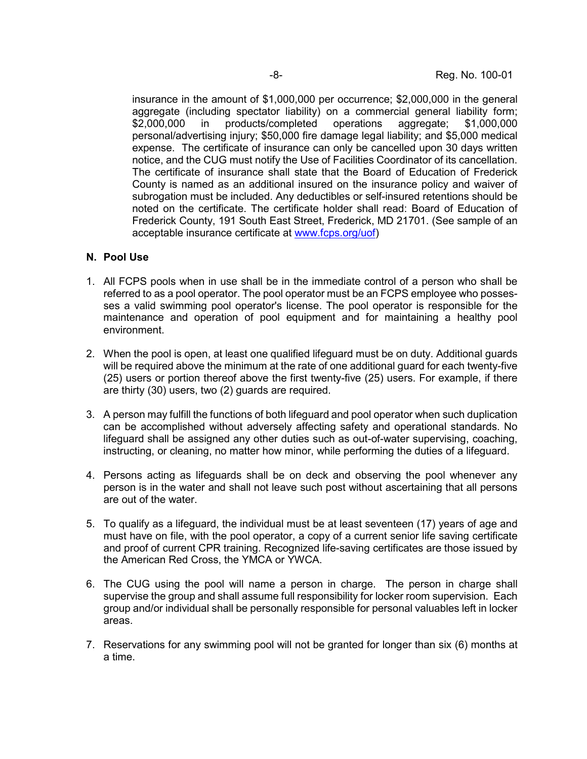insurance in the amount of \$1,000,000 per occurrence; \$2,000,000 in the general aggregate (including spectator liability) on a commercial general liability form; \$2,000,000 in products/completed operations aggregate: \$1,000,000 personal/advertising injury; \$50,000 fire damage legal liability; and \$5,000 medical expense. The certificate of insurance can only be cancelled upon 30 days written notice, and the CUG must notify the Use of Facilities Coordinator of its cancellation. The certificate of insurance shall state that the Board of Education of Frederick County is named as an additional insured on the insurance policy and waiver of subrogation must be included. Any deductibles or self-insured retentions should be noted on the certificate. The certificate holder shall read: Board of Education of Frederick County, 191 South East Street, Frederick, MD 21701. (See sample of an acceptable insurance certificate at [www.fcps.org/](https://www.fcps.org/facilities/use-of-facilities)uof)

## **N. Pool Use**

- 1. All FCPS pools when in use shall be in the immediate control of a person who shall be referred to as a pool operator. The pool operator must be an FCPS employee who possesses a valid swimming pool operator's license. The pool operator is responsible for the maintenance and operation of pool equipment and for maintaining a healthy pool environment.
- 2. When the pool is open, at least one qualified lifeguard must be on duty. Additional guards will be required above the minimum at the rate of one additional guard for each twenty-five (25) users or portion thereof above the first twenty-five (25) users. For example, if there are thirty (30) users, two (2) guards are required.
- 3. A person may fulfill the functions of both lifeguard and pool operator when such duplication can be accomplished without adversely affecting safety and operational standards. No lifeguard shall be assigned any other duties such as out-of-water supervising, coaching, instructing, or cleaning, no matter how minor, while performing the duties of a lifeguard.
- 4. Persons acting as lifeguards shall be on deck and observing the pool whenever any person is in the water and shall not leave such post without ascertaining that all persons are out of the water.
- 5. To qualify as a lifeguard, the individual must be at least seventeen (17) years of age and must have on file, with the pool operator, a copy of a current senior life saving certificate and proof of current CPR training. Recognized life-saving certificates are those issued by the American Red Cross, the YMCA or YWCA.
- 6. The CUG using the pool will name a person in charge. The person in charge shall supervise the group and shall assume full responsibility for locker room supervision. Each group and/or individual shall be personally responsible for personal valuables left in locker areas.
- 7. Reservations for any swimming pool will not be granted for longer than six (6) months at a time.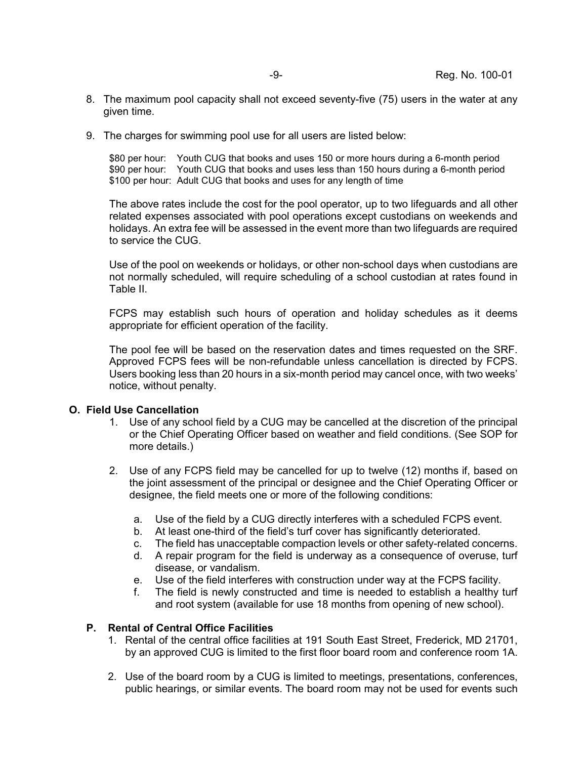- 8. The maximum pool capacity shall not exceed seventy-five (75) users in the water at any given time.
- 9. The charges for swimming pool use for all users are listed below:

\$80 per hour: Youth CUG that books and uses 150 or more hours during a 6-month period \$90 per hour: Youth CUG that books and uses less than 150 hours during a 6-month period \$100 per hour: Adult CUG that books and uses for any length of time

The above rates include the cost for the pool operator, up to two lifeguards and all other related expenses associated with pool operations except custodians on weekends and holidays. An extra fee will be assessed in the event more than two lifeguards are required to service the CUG.

Use of the pool on weekends or holidays, or other non-school days when custodians are not normally scheduled, will require scheduling of a school custodian at rates found in Table II.

FCPS may establish such hours of operation and holiday schedules as it deems appropriate for efficient operation of the facility.

The pool fee will be based on the reservation dates and times requested on the SRF. Approved FCPS fees will be non-refundable unless cancellation is directed by FCPS. Users booking less than 20 hours in a six-month period may cancel once, with two weeks' notice, without penalty.

#### **O. Field Use Cancellation**

- 1. Use of any school field by a CUG may be cancelled at the discretion of the principal or the Chief Operating Officer based on weather and field conditions. (See SOP for more details.)
- 2. Use of any FCPS field may be cancelled for up to twelve (12) months if, based on the joint assessment of the principal or designee and the Chief Operating Officer or designee, the field meets one or more of the following conditions:
	- a. Use of the field by a CUG directly interferes with a scheduled FCPS event.
	- b. At least one-third of the field's turf cover has significantly deteriorated.
	- c. The field has unacceptable compaction levels or other safety-related concerns.
	- d. A repair program for the field is underway as a consequence of overuse, turf disease, or vandalism.
	- e. Use of the field interferes with construction under way at the FCPS facility.
	- f. The field is newly constructed and time is needed to establish a healthy turf and root system (available for use 18 months from opening of new school).

#### **P. Rental of Central Office Facilities**

- 1. Rental of the central office facilities at 191 South East Street, Frederick, MD 21701, by an approved CUG is limited to the first floor board room and conference room 1A.
- 2. Use of the board room by a CUG is limited to meetings, presentations, conferences, public hearings, or similar events. The board room may not be used for events such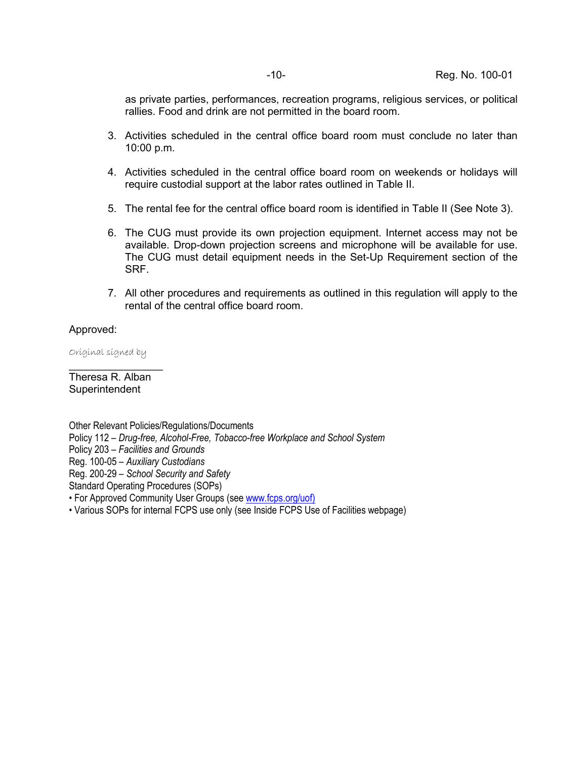as private parties, performances, recreation programs, religious services, or political rallies. Food and drink are not permitted in the board room.

- 3. Activities scheduled in the central office board room must conclude no later than 10:00 p.m.
- 4. Activities scheduled in the central office board room on weekends or holidays will require custodial support at the labor rates outlined in Table II.
- 5. The rental fee for the central office board room is identified in Table II (See Note 3).
- 6. The CUG must provide its own projection equipment. Internet access may not be available. Drop-down projection screens and microphone will be available for use. The CUG must detail equipment needs in the Set-Up Requirement section of the SRF.
- 7. All other procedures and requirements as outlined in this regulation will apply to the rental of the central office board room.

## Approved:

Original signed by

 $\mathcal{L}=\mathcal{L}$ 

Theresa R. Alban Superintendent

Other Relevant Policies/Regulations/Documents Policy 112 – *Drug-free, Alcohol-Free, Tobacco-free Workplace and School System*  Policy 203 – *Facilities and Grounds*  Reg. 100-05 – *Auxiliary Custodians*  Reg. 200-29 – *School Security and Safety*  Standard Operating Procedures (SOPs) • For Approved Community User Groups (se[e www.fcps.org/uof\)](http://www.fcps.org/uof)

• Various SOPs for internal FCPS use only (see Inside FCPS Use of Facilities webpage)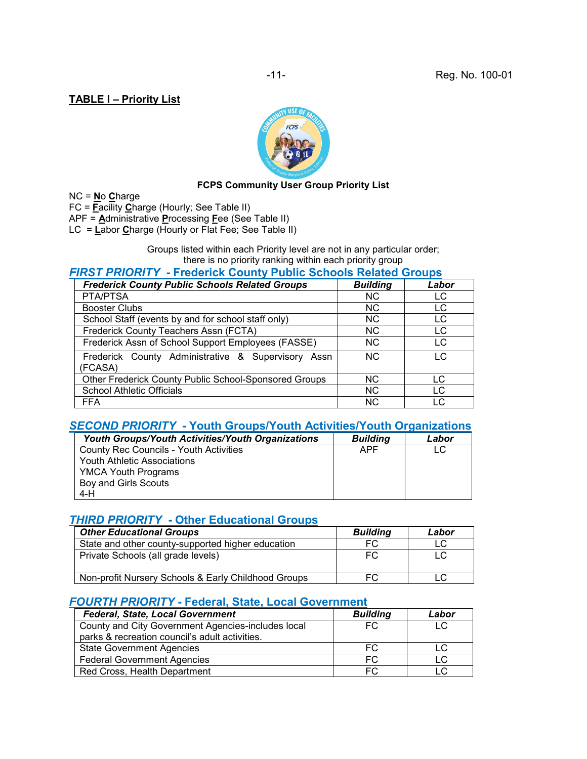# **TABLE I – Priority List**



## **FCPS Community User Group Priority List**

NC = **N**o **C**harge

FC = **F**acility **C**harge (Hourly; See Table II)

APF = **A**dministrative **P**rocessing **F**ee (See Table II)

LC = **L**abor **C**harge (Hourly or Flat Fee; See Table II)

Groups listed within each Priority level are not in any particular order; there is no priority ranking within each priority group

## *FIRST PRIORITY* **- Frederick County Public Schools Related Groups**

| <b>Frederick County Public Schools Related Groups</b>         | <b>Building</b> | Labor |
|---------------------------------------------------------------|-----------------|-------|
| PTA/PTSA                                                      | N <sub>C</sub>  | LC    |
| <b>Booster Clubs</b>                                          | NC.             | LC    |
| School Staff (events by and for school staff only)            | N <sub>C</sub>  | LC    |
| Frederick County Teachers Assn (FCTA)                         | N <sub>C</sub>  | LC    |
| Frederick Assn of School Support Employees (FASSE)            | N <sub>C</sub>  | LC    |
| Frederick County Administrative & Supervisory Assn<br>(FCASA) | N <sub>C</sub>  | LC    |
| Other Frederick County Public School-Sponsored Groups         | <b>NC</b>       | LC    |
| <b>School Athletic Officials</b>                              | <b>NC</b>       | LC.   |
| <b>FFA</b>                                                    | <b>NC</b>       | LC    |

# *SECOND PRIORITY* **- Youth Groups/Youth Activities/Youth Organizations**

| <b>Youth Groups/Youth Activities/Youth Organizations</b> | <b>Building</b> | Labor |
|----------------------------------------------------------|-----------------|-------|
| County Rec Councils - Youth Activities                   | APF             | LC.   |
| <b>Youth Athletic Associations</b>                       |                 |       |
| <b>YMCA Youth Programs</b>                               |                 |       |
| Boy and Girls Scouts                                     |                 |       |
| 4-H                                                      |                 |       |

# *THIRD PRIORITY* **- Other Educational Groups**

| <b>Other Educational Groups</b>                     | <b>Buildina</b> | Labor |
|-----------------------------------------------------|-----------------|-------|
| State and other county-supported higher education   | FC              | LC    |
| Private Schools (all grade levels)                  | FC              | LC    |
| Non-profit Nursery Schools & Early Childhood Groups |                 |       |

#### *FOURTH PRIORITY* **- Federal, State, Local Government**

| <b>Federal, State, Local Government</b>            | <b>Building</b> | Labor |
|----------------------------------------------------|-----------------|-------|
| County and City Government Agencies-includes local | FC.             | LC    |
| parks & recreation council's adult activities.     |                 |       |
| <b>State Government Agencies</b>                   | FC              | LC    |
| <b>Federal Government Agencies</b>                 | FC.             | LC    |
| Red Cross, Health Department                       | FC.             |       |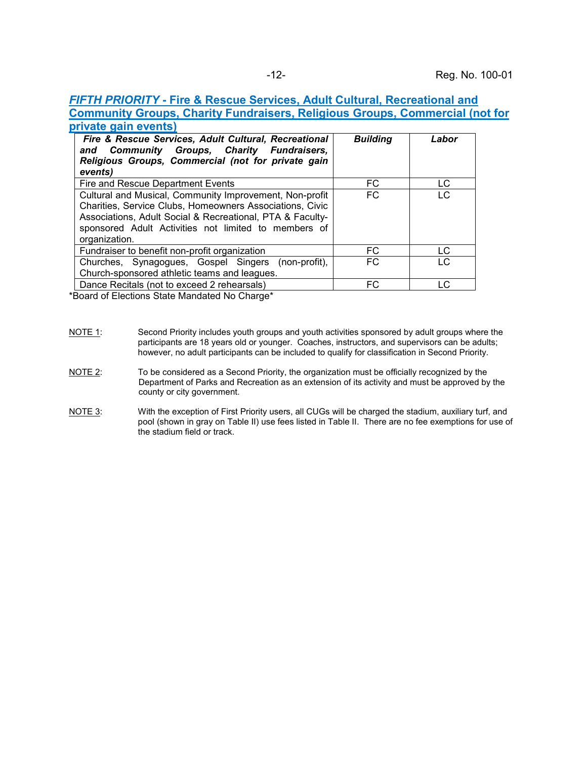# *FIFTH PRIORITY* **- Fire & Rescue Services, Adult Cultural, Recreational and Community Groups, Charity Fundraisers, Religious Groups, Commercial (not for private gain events)**

| Fire & Rescue Services, Adult Cultural, Recreational<br><b>Community Groups, Charity Fundraisers,</b><br>and<br>Religious Groups, Commercial (not for private gain<br>events)                                                                             | <b>Building</b> | Labor |
|-----------------------------------------------------------------------------------------------------------------------------------------------------------------------------------------------------------------------------------------------------------|-----------------|-------|
| Fire and Rescue Department Events                                                                                                                                                                                                                         | FC              | LC    |
| Cultural and Musical, Community Improvement, Non-profit<br>Charities, Service Clubs, Homeowners Associations, Civic<br>Associations, Adult Social & Recreational, PTA & Faculty-<br>sponsored Adult Activities not limited to members of<br>organization. | <b>FC</b>       | LC    |
| Fundraiser to benefit non-profit organization                                                                                                                                                                                                             | FC              | LC.   |
| Churches, Synagogues, Gospel Singers (non-profit),<br>Church-sponsored athletic teams and leagues.                                                                                                                                                        | FC.             | LC    |
| Dance Recitals (not to exceed 2 rehearsals)                                                                                                                                                                                                               | FC              | LC    |

\*Board of Elections State Mandated No Charge\*

- 
- NOTE 1: Second Priority includes youth groups and youth activities sponsored by adult groups where the participants are 18 years old or younger. Coaches, instructors, and supervisors can be adults; however, no adult participants can be included to qualify for classification in Second Priority.
- NOTE 2: To be considered as a Second Priority, the organization must be officially recognized by the Department of Parks and Recreation as an extension of its activity and must be approved by the county or city government.
- NOTE 3: With the exception of First Priority users, all CUGs will be charged the stadium, auxiliary turf, and pool (shown in gray on Table II) use fees listed in Table II. There are no fee exemptions for use of the stadium field or track.